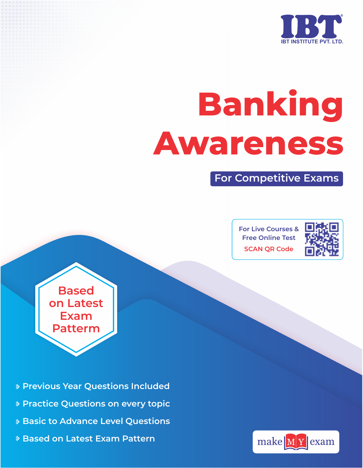

# **Banking Awareness**

**For Competitive Exams**

**For Live Courses & Free Online Test SCAN QR Code**



**Based on Latest Exam Patterm**

- **Previous Year Questions Included**
- **Practice Questions on every topic**
- **Basic to Advance Level Questions**
- **Based on Latest Exam Pattern**

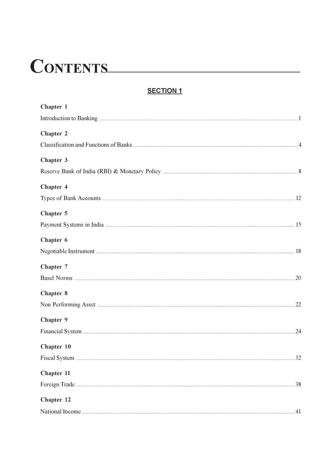# CONTENTS

#### **SECTION 1**

| Chapter 1  |
|------------|
|            |
| Chapter 2  |
|            |
| Chapter 3  |
|            |
| Chapter 4  |
|            |
| Chapter 5  |
|            |
| Chapter 6  |
|            |
| Chapter 7  |
|            |
| Chapter 8  |
|            |
| Chapter 9  |
|            |
| Chapter 10 |
|            |
| Chapter 11 |
|            |
| Chapter 12 |
|            |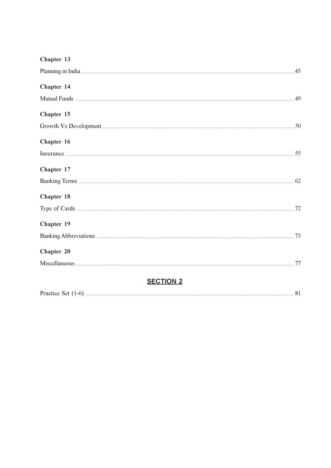| Chapter 13       |  |
|------------------|--|
|                  |  |
| Chapter 14       |  |
|                  |  |
| Chapter 15       |  |
|                  |  |
| Chapter 16       |  |
|                  |  |
| Chapter 17       |  |
|                  |  |
| Chapter 18       |  |
|                  |  |
| Chapter 19       |  |
|                  |  |
| Chapter 20       |  |
|                  |  |
| <b>SECTION 2</b> |  |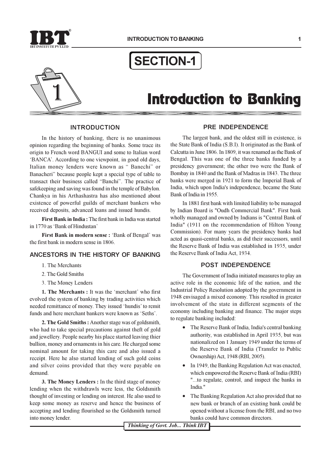

### **SECTION-1**



## **Introduction to Banking**

#### **INTRODUCTION**

In the history of banking, there is no unanimous opinion regarding the beginning of banks. Some trace its origin to French word BANGUI and some to Italian word 'BANCA'. According to one viewpoint, in good old days, Italian money lenders were known as "Banechi" or Banacheri" because people kept a special type of table to transact their business called "Banchi". The practice of safekeeping and saving was found in the temple of Babylon. Chankya in his Arthashastra has also mentioned about existence of powerful guilds of merchant bankers who received deposits, advanced loans and issued hundis.

First Bank in India: The first bank in India was started in 1770 as 'Bank of Hindustan'

First Bank in modern sense : 'Bank of Bengal' was the first bank in modern sense in 1806.

#### ANCESTORS IN THE HISTORY OF BANKING

- 1. The Merchants
- 2. The Gold Smiths
- 3. The Money Lenders

1. The Merchants: It was the 'merchant' who first evolved the system of banking by trading activities which needed remittance of money. They issued 'hundis' to remit funds and here merchant bankers were known as 'Seths'.

2. The Gold Smiths: Another stage was of goldsmith, who had to take special precautions against theft of gold and jewellery. People nearby his place started leaving thier bullion, money and ornaments in his care. He charged some nominal amount for taking this care and also issued a receipt. Here he also started lending of such gold coins and silver coins provided that they were payable on demand.

3. The Money Lenders: In the third stage of money lending when the withdrawls were less, the Goldsmith thought of investing or lending on interest. He also used to keep some money as reserve and hence the business of accepting and lending flourished so the Goldsmith turned into money lender.

#### PRE INDEPENDENCE

The largest bank, and the oldest still in existence, is the State Bank of India (S.B.I). It originated as the Bank of Calcutta in June 1806. In 1809, it was renamed as the Bank of Bengal. This was one of the three banks funded by a presidency government; the other two were the Bank of Bombay in 1840 and the Bank of Madras in 1843. The three banks were merged in 1921 to form the Imperial Bank of India, which upon India's independence, became the State Bank of India in 1955.

In 1881 first bank with limited liability to be managed by Indian Board is "Oudh Commercial Bank". First bank wholly managed and owned by Indians is "Central Bank of India" (1911 on the recommendation of Hilton Young Commission). For many years the presidency banks had acted as quasi-central banks, as did their successors, until the Reserve Bank of India was established in 1935, under the Reserve Bank of India Act. 1934.

#### **POST INDEPENDENCE**

The Government of India initiated measures to play an active role in the economic life of the nation, and the Industrial Policy Resolution adopted by the government in 1948 envisaged a mixed economy. This resulted in greater involvement of the state in different segments of the economy including banking and finance. The major steps to regulate banking included:

- The Reserve Bank of India. India's central banking authority, was established in April 1935, but was nationalized on 1 January 1949 under the terms of the Reserve Bank of India (Transfer to Public Ownership) Act, 1948 (RBI, 2005).
- In 1949, the Banking Regulation Act was enacted, which empowered the Reserve Bank of India (RBI) "...to regulate, control, and inspect the banks in India."
- The Banking Regulation Act also provided that no new bank or branch of an existing bank could be opened without a license from the RBI, and no two banks could have common directors.

Thinking of Govt. Job... Think IBT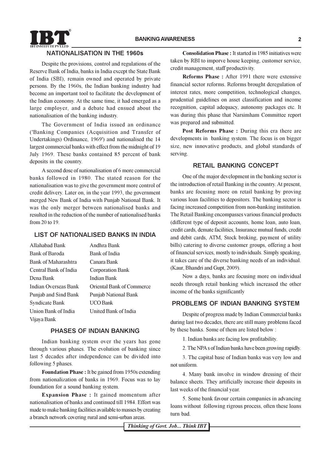

#### **NATIONALISATION IN THE 1960s**

Despite the provisions, control and regulations of the Reserve Bank of India, banks in India except the State Bank of India (SBI), remain owned and operated by private persons. By the 1960s, the Indian banking industry had become an important tool to facilitate the development of the Indian economy. At the same time, it had emerged as a large employer, and a debate had ensued about the nationalisation of the banking industry.

The Government of India issued an ordinance ('Banking Companies (Acquisition and Transfer of Undertakings) Ordinance, 1969') and nationalised the 14 largest commercial banks with effect from the midnight of 19 July 1969. These banks contained 85 percent of bank deposits in the country.

A second dose of nationalisation of 6 more commercial banks followed in 1980. The stated reason for the nationalisation was to give the government more control of credit delivery. Later on, in the year 1993, the government merged New Bank of India with Punjab National Bank. It was the only merger between nationalised banks and resulted in the reduction of the number of nationalised banks from 20 to 19.

#### LIST OF NATIONALISED BANKS IN INDIA

| Allahabad Bank        | Andhra Bank                      |
|-----------------------|----------------------------------|
| Bank of Baroda        | Bank of India                    |
| Bank of Maharashtra   | Canara Bank                      |
| Central Bank of India | <b>Corporation Bank</b>          |
| Dena Bank             | <b>Indian Bank</b>               |
| Indian Overseas Bank  | <b>Oriental Bank of Commerce</b> |
| Punjab and Sind Bank  | <b>Punjab National Bank</b>      |
| Syndicate Bank        | UCO Bank                         |
| Union Bank of India   | United Bank of India             |
| Vijaya Bank           |                                  |

#### PHASES OF INDIAN BANKING

Indian banking system over the years has gone through various phases. The evolution of banking since last 5 decades after independence can be divided into following 5 phases.

**Foundation Phase : It be gained from 1950s extending** from nationalization of banks in 1969. Focus was to lay foundation for a sound banking system.

**Expansion Phase:** It gained momentum after nationalisation of banks and continued till 1984. Effort was made to make banking facilities available to masses by creating a branch network covering rural and semi-urban areas.

**Consolidation Phase:** It started in 1985 initiatives were taken by RBI to imporve house keeping, customer service, credit management, staff productivity.

**Reforms Phase:** After 1991 there were extensive financial sector reforms. Reforms brought deregulation of interest rates, more competition, technological changes, prudential guidelines on asset classification and income recognition, capital adequacy, autonomy packages etc. It was during this phase that Narsimham Committee report was prepared and submitted.

Post Reforms Phase: During this era there are developments in banking system. The focus is on bigger size, new innovative products, and global standards of serving.

#### **RETAIL BANKING CONCEPT**

One of the major development in the banking sector is the introduction of retail Banking in the country. At present, banks are focusing more on retail banking by proving various loan facilities to depositors. The banking sector is facing increased competition from non-banking institution. The Retail Banking encompasses various financial products (different type of deposit accounts, home loan, auto loan, credit cards, demate facilities, Insurance mutual funds, credit and debit cards, ATM, Stock broking, payment of utility bills) catering to diverse customer groups, offering a host of financial services, mostly to individuals. Simply speaking, it takes care of the diverse banking needs of an individual. (Kaur, Bhandri and Gupt, 2009).

Now a days, banks are focusing more on individual needs through retail banking which increased the other income of the banks significantly

#### PROBLEMS OF INDIAN BANKING SYSTEM

Despite of progress made by Indian Commercial banks during last two decades, there are still many problems faced by these banks. Some of them are listed below:

1. Indian banks are facing low profitability.

2. The NPA s of Indian banks have been growing rapidly.

3. The capital base of Indian banks was very low and not uniform.

4. Many bank involve in window dressing of their balance sheets. They artificially increase their deposits in last weeks of the financial year.

5. Some bank favour certain companies in advancing loans without following rigrous process, often these loans turn bad.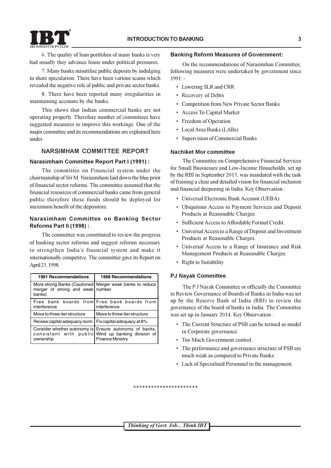

6. The quality of loan portfolios of many banks is very bad usually they advance loans under political pressures.

7. Many banks misutilise public deposits by indulging in share speculation. There have been various scams which revealed the negative role of public and private sector banks.

8. There have been reported many irregularities in maintaining accounts by the banks.

This shows that Indian commercial banks are not operating properly. Therefore number of committees have suggested measures to improve this workings. One of the major committee and its recommendations are explained here under.

#### **NARSIMHAM COMMITTEE REPORT**

#### **Narasimham Committee Report Part I (1991):**

The committee on Financial system under the chairmanship of Sri M. Narasimham laid down the blue print of financial sector reforms. The committee assumed that the financial resources of commercial banks came from general public therefore these funds should be deployed for maximum benefit of the depositors.

#### Narasimham Committee on Banking Sector Reforms Part II (1998) :

The committee was constituted to review the progress of banking sector reforms and suggest reforms necessary to strengthen India's financial system and make it internationally competitve. The committee gave its Report on April 23, 1998.

| 1991 Recommendations                                      | <b>1998 Recommendations</b>                                                                                                      |
|-----------------------------------------------------------|----------------------------------------------------------------------------------------------------------------------------------|
| merger of strong and weak number<br>banks)                | More strong Banks (Cautioned   Merger weak banks to reduce                                                                       |
| interference                                              | Free bank boards from Free bank boards from<br>interference                                                                      |
| Move to three-tier structure                              | Move to three-tier structure                                                                                                     |
| Review capital adequacy norm   Fix capital adequacy at 8% |                                                                                                                                  |
| ownership                                                 | Consider whether autonomy is Ensure autonomy of banks.<br>consistent with public Wind up banking division of<br>Finance Ministry |

#### **Banking Reform Measures of Government:**

On the recommendations of Narasimhan Committee. following measures were undertaken by government since  $1991 -$ 

- Lowering SLR and CRR
- Recovery of Debts
- Competition from New Private Sector Banks
- Access To Capital Market
- Freedom of Operation
- Local Area Banks (LABs)
- Supervision of Commercial Banks

#### Nachiket Mor committee

The Committee on Comprehensive Financial Services for Small Businesses and Low-Income Households, set up by the RBI in September 2013, was mandated with the task of framing a clear and detailed vision for financial inclusion and financial deepening in India. Key Observation:

- Universal Electronic Bank Account (UEBA)
- Ubiquitous Access to Payment Services and Deposit Products at Reasonable Charges
- Sufficient Access to Affordable Formal Credit.
- Universal Access to a Range of Deposit and Investment Products at Reasonable Charges.
- Universal Access to a Range of Insurance and Risk Management Products at Reasonable Charges.
- Right to Suitability

#### **PJ Nayak Committee**

The P J Nayak Committee or officially the Committee to Review Governance of Boards of Banks in India was set up by the Reserve Bank of India (RBI) to review the governance of the board of banks in India. The Committee was set up in January 2014. Key Observation:

- The Current Structure of PSB can be termed as model in Corporate governance.
- Too Much Government control.
- The performance and governance structure of PSB are much weak as compared to Private Banks.
- Lack of Specialised Personnel in the management.

\*\*\*\*\*\*\*\*\*\*\*\*\*\*\*\*\*\*\*\*\*\*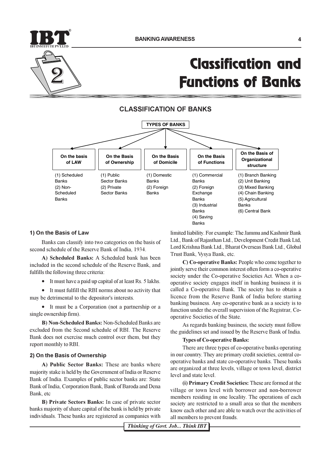

# **Classification and Functions of Banks**

**CLASSIFICATION OF BANKS** 



#### 1) On the Basis of Law

Banks can classify into two categories on the basis of second schedule of the Reserve Bank of India, 1934.

A) Scheduled Banks: A Scheduled bank has been included in the second schedule of the Reserve Bank, and fulfills the following three criteria:

• It must have a paid up capital of at least Rs. 5 lakhs.

• It must fulfill the RBI norms about no activity that may be detrimental to the depositor's interests.

• It must be a Corporation (not a partnership or a single ownership firm).

B) Non-Scheduled Banks: Non-Scheduled Banks are excluded from the Second schedule of RBI. The Reserve Bank does not exercise much control over them, but they report monthly to RBI.

#### 2) On the Basis of Ownership

A) Public Sector Banks: These are banks where majority stake is held by the Government of India or Reserve Bank of India. Examples of public sector banks are: State Bank of India, Corporation Bank, Bank of Baroda and Dena Bank. etc

**B)** Private Sectors Banks: In case of private sector banks majority of share capital of the bank is held by private individuals. These banks are registered as companies with

limited liability. For example: The Jammu and Kashmir Bank Ltd., Bank of Rajasthan Ltd., Development Credit Bank Ltd, Lord Krishna Bank Ltd., Bharat Overseas Bank Ltd., Global Trust Bank, Wsva Bank, etc.

C) Co-operative Banks: People who come together to jointly serve their common interest often form a co-operative society under the Co-operative Societies Act. When a cooperative society engages itself in banking business it is called a Co-operative Bank. The society has to obtain a licence from the Reserve Bank of India before starting banking business. Any co-operative bank as a society is to function under the overall supervision of the Registrar, Cooperative Societies of the State.

As regards banking business, the society must follow the guidelines set and issued by the Reserve Bank of India.

#### **Types of Co-operative Banks:**

There are three types of co-operative banks operating in our country. They are primary credit societies, central cooperative banks and state co-operative banks. These banks are organized at three levels, village or town level, district level and state level.

(i) Primary Credit Societies: These are formed at the village or town level with borrower and non-borrower members residing in one locality. The operations of each society are restricted to a small area so that the members know each other and are able to watch over the activities of all members to prevent frauds.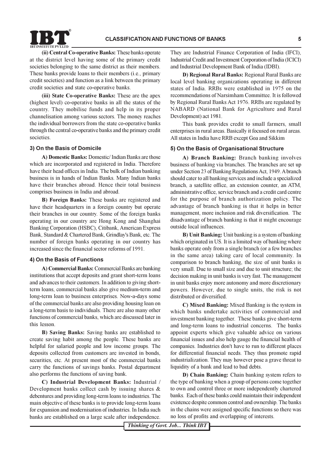(ii) Central Co-operative Banks: These banks operate at the district level having some of the primary credit societies belonging to the same district as their members. These banks provide loans to their members (i.e., primary credit societies) and function as a link between the primary credit societies and state co-operative banks.

(iii) State Co-operative Banks: These are the apex (highest level) co-operative banks in all the states of the country. They mobilise funds and help in its proper channelisation among various sectors. The money reaches the individual borrowers from the state co-operative banks through the central co-operative banks and the primary credit societies.

#### 3) On the Basis of Domicile

A) Domestic Banks: Domestic/Indian Banks are those which are incorporated and registered in India. Therefore have their head offices in India. The bulk of Indian banking business is in hands of Indian Banks. Many Indian banks have their branches abroad. Hence their total business comprises business in India and abroad.

B) Foreign Banks: These banks are registered and have their headquarters in a foreign country but operate their branches in our country. Some of the foreign banks operating in our country are Hong Kong and Shanghai Banking Corporation (HSBC), Citibank, American Express Bank, Standard & Chartered Bank, Grindlay's Bank, etc. The number of foreign banks operating in our country has increased since the financial sector reforms of 1991.

#### 4) On the Basis of Functions

A) Commercial Banks: Commercial Banks are banking institutions that accept deposits and grant short-term loans and advances to their customers. In addition to giving shortterm loans, commercial banks also give medium-term and long-term loan to business enterprises. Now-a-days some of the commercial banks are also providing housing loan on a long-term basis to individuals. There are also many other functions of commercial banks, which are discussed later in this lesson.

**B)** Saving Banks: Saving banks are established to create saving habit among the people. These banks are helpful for salaried people and low income groups. The deposits collected from customers are invested in bonds, securities, etc. At present most of the commercial banks carry the functions of savings banks. Postal department also performs the functions of saving bank.

C) Industrial Development Banks: Industrial / Development banks collect cash by issuing shares  $\&$ debentures and providing long-term loans to industries. The main objective of these banks is to provide long-term loans for expansion and modernisation of industries. In India such banks are established on a large scale after independence.

They are Industrial Finance Corporation of India (IFCI), Industrial Credit and Investment Corporation of India (ICICI) and Industrial Development Bank of India (IDBI).

D) Regional Rural Banks: Regional Rural Banks are local level banking organizations operating in different states of India. RRBs were established in 1975 on the recommendations of Narsimham Committee. It is followed by Regional Rural Banks Act 1976. RRBs are regulated by NABARD (National Bank for Agriculture and Rural Development) act 1981.

This bank provides credit to small farmers, small enterprises in rural areas. Basically it focused on rural areas. All states in India have RRB except Goa and Sikkim

#### 5) On the Basis of Organisational Structure

A) Branch Banking: Branch banking involves business of banking via branches. The branches are set up under Section 23 of Banking Regulations Act, 1949. A branch should cater to all banking services and include a specialized branch, a satellite office, an extension counter, an ATM, administrative office, service branch and a credit card centre for the purpose of branch authorization policy. The advantage of branch banking is that it helps in better management, more inclusion and risk diversification. The disadvantage of branch banking is that it might encourage outside local influences.

**B) Unit Banking:** Unit banking is a system of banking which originated in US. It is a limited way of banking where banks operate only from a single branch (or a few branches in the same area) taking care of local community. In comparison to branch banking, the size of unit banks is very small. Due to small size and due to unit structure; the decision making in unit banks is very fast. The management in unit banks enjoy more autonomy and more discretionary powers. However, due to single units, the risk is not distributed or diversified.

C) Mixed Banking: Mixed Banking is the system in which banks undertake activities of commercial and investment banking together. These banks give short-term and long-term loans to industrial concerns. The banks appoint experts which give valuable advice on various financial issues and also help gauge the financial health of companies. Industries don't have to run to different places for differential financial needs. They thus promote rapid industrialization. They may however pose a grave threat to liquidity of a bank and lead to bad debts.

D) Chain Banking: Chain banking system refers to the type of banking when a group of persons come together to own and control three or more independently chartered banks. Each of these banks could maintain their independent existence despite common control and ownership. The banks in the chains were assigned specific functions so there was no loss of profits and overlapping of interests.